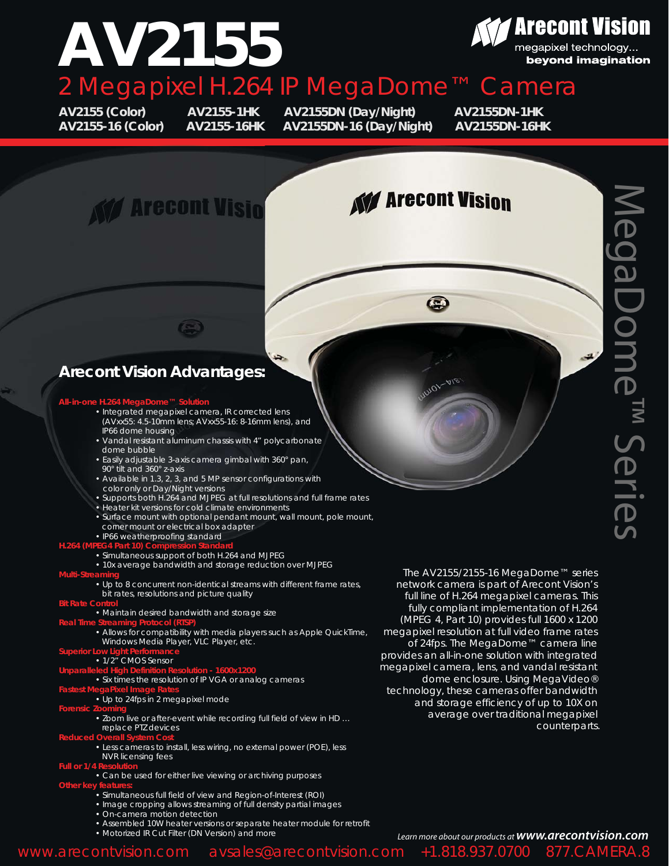### **Z** Arecont Vision **AV2155** megapixel technology... beyond imagination 2 Megapixel H.264 IP MegaDome™ Camera

**AV2155 (Color) AV2155-1HK AV2155DN (Day/Night) AV2155DN-1HK AV2155-16 (Color) AV2155-16HK AV2155DN-16 (Day/Night) AV2155DN-16HK**

# **KV Arecont Visio**

# **KV Arecont Vision**

 $\bullet$ 

 $\mathcal{M}$ vov

## **Arecont Vision Advantages:**

#### **All-in-one H.264 N**

 • Integrated megapixel camera, IR corrected lens (AVxx55: 4.5-10mm lens; AVxx55-16: 8-16mm lens), and IP66 dome housing

 $\left( -\right)$ 

- Vandal resistant aluminum chassis with 4" polycarbonate dome bubble
- Easily adjustable 3-axis camera gimbal with 360° pan, 90° tilt and 360° z-axis
- Available in 1.3, 2, 3, and 5 MP sensor configurations with color only or Day/Night versions
- Supports both H.264 and MJPEG at full resolutions and full frame rates
- Heater kit versions for cold climate environments
- Surface mount with optional pendant mount, wall mount, pole mount, corner mount or electrical box adapter
- IP66 weatherproofing standard

#### **H.264 (N**

• Simultaneous support of both H.264 and MJPEG

- 10x average bandwidth and storage reduction over MJPEG
- **Multi-Streaming**
	- Up to 8 concurrent non-identical streams with different frame rates, bit rates, resolutions and picture quality
- **Bit Rate C** 
	- Maintain desired bandwidth and storage size

#### **Real Time Streaming Protocol (RTSP)**

- Allows for compatibility with media players such as Apple QuickTime, Windows Media Player, VLC Player, etc.
- **Superior Low Light Performance**

#### • 1/2" CMOS Sensor

**Unparalleled High Definition Resolution - 1600x1200**

#### • Six times the resolution of IP VGA or analog cameras

- **Fastest MegaPixel Image Rates**
	- Up to 24fps in 2 megapixel mode

#### **Forensic Zooming**

• Zoom live or after-event while recording full field of view in HD … replace PTZ devices

#### **Reduced Overall System Cost**

- Less cameras to install, less wiring, no external power (POE), less NVR licensing fees
- 
- Can be used for either live viewing or archiving purposes **Other key features:**
	- Simultaneous full field of view and Region-of-Interest (ROI)
	- Image cropping allows streaming of full density partial images
	- On-camera motion detection
	- Assembled 10W heater versions or separate heater module for retrofit
	- Motorized IR Cut Filter (DN Version) and more

*The AV2155/2155-16 MegaDome™ series network camera is part of Arecont Vision's full line of H.264 megapixel cameras. This fully compliant implementation of H.264 (MPEG 4, Part 10) provides full 1600 x 1200 megapixel resolution at full video frame rates of 24fps. The MegaDome™ camera line provides an all-in-one solution with integrated megapixel camera, lens, and vandal resistant dome enclosure. Using MegaVideo® technology, these cameras offer bandwidth and storage efficiency of up to 10X on average over traditional megapixel counterparts.*

*Learn more about our products at www.arecontvision.com* www.arecontvision.com avsales@arecontvision.com +1.818.937.0700 877.CAMERA.8